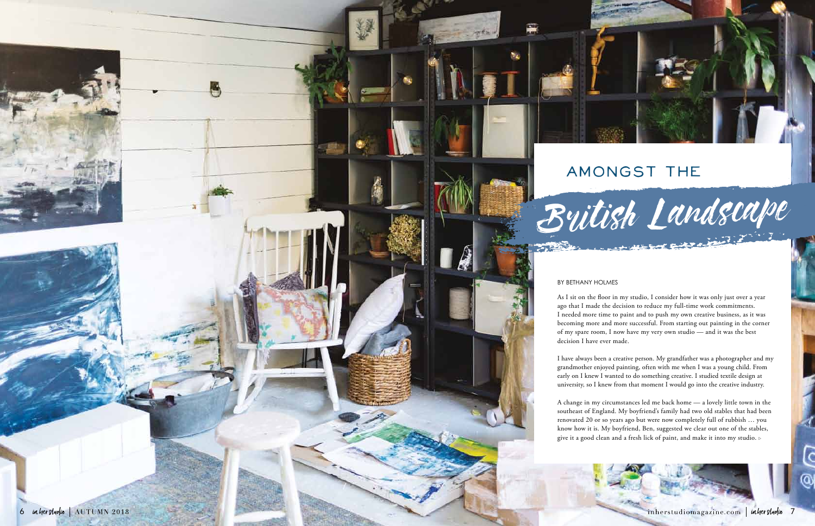## Amongst the

## British Landscape

As I sit on the floor in my studio, I consider how it was only just over a year ago that I made the decision to reduce my full-time work commitments. I needed more time to paint and to push my own creative business, as it was becoming more and more successful. From starting out painting in the corner of my spare room, I now have my very own studio — and it was the best decision I have ever made.

I have always been a creative person. My grandfather was a photographer and my grandmother enjoyed painting, often with me when I was a young child. From early on I knew I wanted to do something creative. I studied textile design at university, so I knew from that moment I would go into the creative industry.

A change in my circumstances led me back home — a lovely little town in the southeast of England. My boyfriend's family had two old stables that had been renovated 20 or so years ago but were now completely full of rubbish … you know how it is. My boyfriend, Ben, suggested we clear out one of the stables, give it a good clean and a fresh lick of paint, and make it into my studio.





## by Bethany Holmes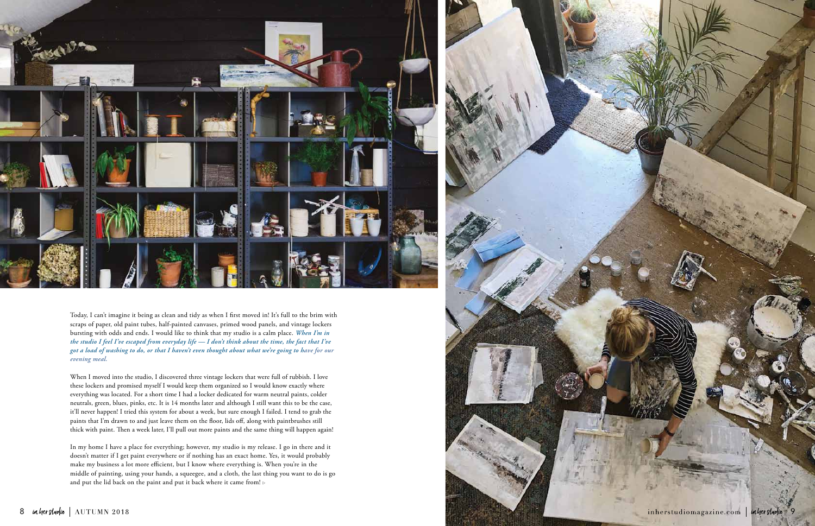

Today, I can't imagine it being as clean and tidy as when I first moved in! It's full to the brim with scraps of paper, old paint tubes, half-painted canvases, primed wood panels, and vintage lockers bursting with odds and ends. I would like to think that my studio is a calm place. *When I'm in the studio I feel I've escaped from everyday life — I don't think about the time, the fact that I've got a load of washing to do, or that I haven't even thought about what we're going to have for our evening meal.* 

In my home I have a place for everything; however, my studio is my release. I go in there and it doesn't matter if I get paint everywhere or if nothing has an exact home. Yes, it would probably make my business a lot more efficient, but I know where everything is. When you're in the middle of painting, using your hands, a squeegee, and a cloth, the last thing you want to do is go and put the lid back on the paint and put it back where it came from!  $\triangleright$ 

inherstudiomagazine.com | inher studio

When I moved into the studio, I discovered three vintage lockers that were full of rubbish. I love these lockers and promised myself I would keep them organized so I would know exactly where everything was located. For a short time I had a locker dedicated for warm neutral paints, colder neutrals, green, blues, pinks, etc. It is 14 months later and although I still want this to be the case, it'll never happen! I tried this system for about a week, but sure enough I failed. I tend to grab the paints that I'm drawn to and just leave them on the floor, lids off, along with paintbrushes still thick with paint. Then a week later, I'll pull out more paints and the same thing will happen again!

9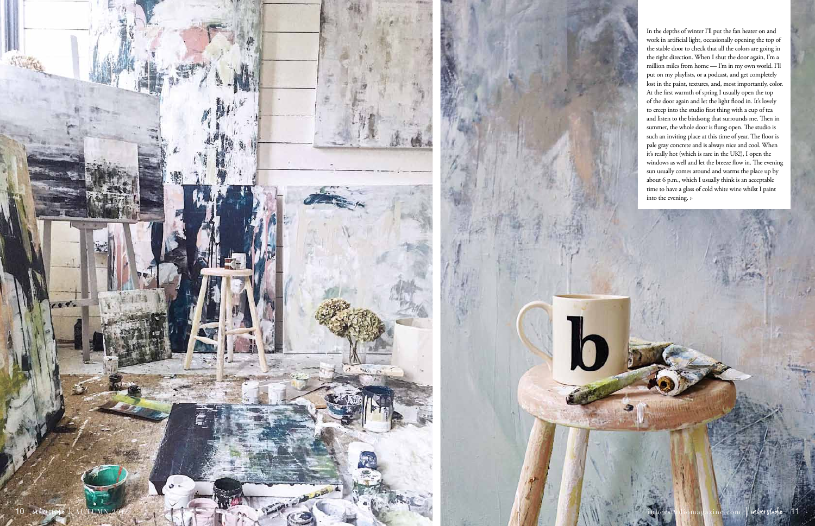In the depths of winter I'll put the fan heater on and work in artificial light, occasionally opening the top of the stable door to check that all the colors are going in the right direction. When I shut the door again, I'm a million miles from home — I'm in my own world. I'll put on my playlists, or a podcast, and get completely lost in the paint, textures, and, most importantly, color. At the first warmth of spring I usually open the top of the door again and let the light flood in. It's lovely to creep into the studio first thing with a cup of tea and listen to the birdsong that surrounds me. Then in summer, the whole door is flung open. The studio is such an inviting place at this time of year. The floor is pale gray concrete and is always nice and cool. When it's really hot (which is rare in the UK!), I open the windows as well and let the breeze flow in. The evening sun usually comes around and warms the place up by about 6 p.m., which I usually think is an acceptable time to have a glass of cold white wine whilst I paint into the evening.